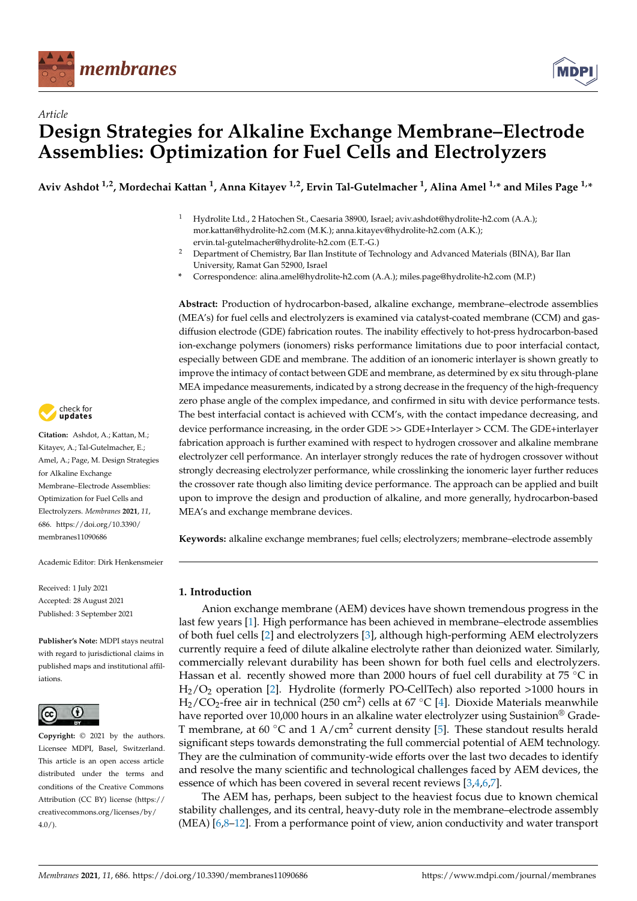

*Article*



# **Design Strategies for Alkaline Exchange Membrane–Electrode Assemblies: Optimization for Fuel Cells and Electrolyzers**

**Aviv Ashdot 1,2, Mordechai Kattan <sup>1</sup> , Anna Kitayev 1,2, Ervin Tal-Gutelmacher <sup>1</sup> , Alina Amel 1,\* and Miles Page 1,\***

- <sup>1</sup> Hydrolite Ltd., 2 Hatochen St., Caesaria 38900, Israel; aviv.ashdot@hydrolite-h2.com (A.A.); mor.kattan@hydrolite-h2.com (M.K.); anna.kitayev@hydrolite-h2.com (A.K.); ervin.tal-gutelmacher@hydrolite-h2.com (E.T.-G.)
- <sup>2</sup> Department of Chemistry, Bar Ilan Institute of Technology and Advanced Materials (BINA), Bar Ilan University, Ramat Gan 52900, Israel
- **\*** Correspondence: alina.amel@hydrolite-h2.com (A.A.); miles.page@hydrolite-h2.com (M.P.)

**Abstract:** Production of hydrocarbon-based, alkaline exchange, membrane–electrode assemblies (MEA's) for fuel cells and electrolyzers is examined via catalyst-coated membrane (CCM) and gasdiffusion electrode (GDE) fabrication routes. The inability effectively to hot-press hydrocarbon-based ion-exchange polymers (ionomers) risks performance limitations due to poor interfacial contact, especially between GDE and membrane. The addition of an ionomeric interlayer is shown greatly to improve the intimacy of contact between GDE and membrane, as determined by ex situ through-plane MEA impedance measurements, indicated by a strong decrease in the frequency of the high-frequency zero phase angle of the complex impedance, and confirmed in situ with device performance tests. The best interfacial contact is achieved with CCM's, with the contact impedance decreasing, and device performance increasing, in the order GDE >> GDE+Interlayer > CCM. The GDE+interlayer fabrication approach is further examined with respect to hydrogen crossover and alkaline membrane electrolyzer cell performance. An interlayer strongly reduces the rate of hydrogen crossover without strongly decreasing electrolyzer performance, while crosslinking the ionomeric layer further reduces the crossover rate though also limiting device performance. The approach can be applied and built upon to improve the design and production of alkaline, and more generally, hydrocarbon-based MEA's and exchange membrane devices.

**Keywords:** alkaline exchange membranes; fuel cells; electrolyzers; membrane–electrode assembly

# **1. Introduction**

Anion exchange membrane (AEM) devices have shown tremendous progress in the last few years [\[1\]](#page-15-0). High performance has been achieved in membrane–electrode assemblies of both fuel cells [\[2\]](#page-15-1) and electrolyzers [\[3\]](#page-15-2), although high-performing AEM electrolyzers currently require a feed of dilute alkaline electrolyte rather than deionized water. Similarly, commercially relevant durability has been shown for both fuel cells and electrolyzers. Hassan et al. recently showed more than 2000 hours of fuel cell durability at 75 °C in H2/O<sup>2</sup> operation [\[2\]](#page-15-1). Hydrolite (formerly PO-CellTech) also reported >1000 hours in  $\text{H}_{2}/\text{CO}_{2}$ -free air in technical (250 cm<sup>2</sup>) cells at 67 °C [\[4\]](#page-15-3). Dioxide Materials meanwhile have reported over 10,000 hours in an alkaline water electrolyzer using Sustainion® Grade-T membrane, at 60 °C and 1 A/cm<sup>2</sup> current density [\[5\]](#page-15-4). These standout results herald significant steps towards demonstrating the full commercial potential of AEM technology. They are the culmination of community-wide efforts over the last two decades to identify and resolve the many scientific and technological challenges faced by AEM devices, the essence of which has been covered in several recent reviews [\[3,](#page-15-2)[4,](#page-15-3)[6,](#page-15-5)[7\]](#page-15-6).

The AEM has, perhaps, been subject to the heaviest focus due to known chemical stability challenges, and its central, heavy-duty role in the membrane–electrode assembly (MEA) [\[6](#page-15-5)[,8](#page-15-7)[–12\]](#page-15-8). From a performance point of view, anion conductivity and water transport



**Citation:** Ashdot, A.; Kattan, M.; Kitayev, A.; Tal-Gutelmacher, E.; Amel, A.; Page, M. Design Strategies for Alkaline Exchange Membrane–Electrode Assemblies: Optimization for Fuel Cells and Electrolyzers. *Membranes* **2021**, *11*, 686. [https://doi.org/10.3390/](https://doi.org/10.3390/membranes11090686) [membranes11090686](https://doi.org/10.3390/membranes11090686)

Academic Editor: Dirk Henkensmeier

Received: 1 July 2021 Accepted: 28 August 2021 Published: 3 September 2021

**Publisher's Note:** MDPI stays neutral with regard to jurisdictional claims in published maps and institutional affiliations.



**Copyright:** © 2021 by the authors. Licensee MDPI, Basel, Switzerland. This article is an open access article distributed under the terms and conditions of the Creative Commons Attribution (CC BY) license (https:/[/](https://creativecommons.org/licenses/by/4.0/) [creativecommons.org/licenses/by/](https://creativecommons.org/licenses/by/4.0/)  $4.0/$ ).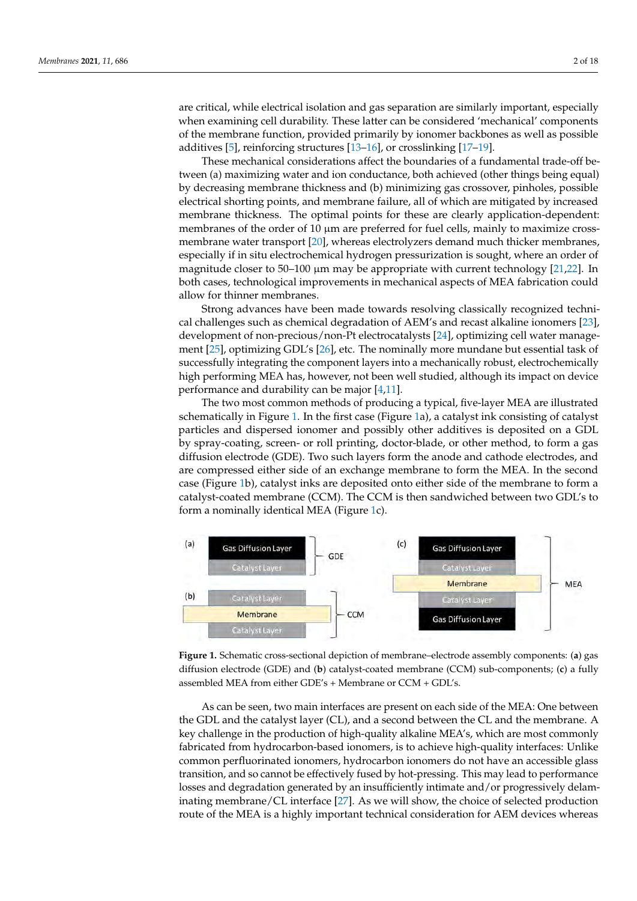are critical, while electrical isolation and gas separation are similarly important, especially when examining cell durability. These latter can be considered 'mechanical' components of the membrane function, provided primarily by ionomer backbones as well as possible<br>components of the membrane function, provided primarily by ionomer backbones as well as possible additives [\[5\]](#page-15-4), reinforcing structures [\[13–](#page-16-0)[16\]](#page-16-1), or crosslinking [\[17–](#page-16-2)[19\]](#page-16-3). (MEA)  $\sim$  12,8–12]. From a performance point of view, and water point of view, and water  $\sim$ are critical, while electrical isolation and gas separation are similarly important, especially

These mechanical considerations affect the boundaries of a fundamental trade-off between (a) maximizing water and ion conductance, both achieved (other things being equal)<br>https://www.com/distributed/action-things-conductance, both achieved (other things being equal) by decreasing membrane thickness and (b) minimizing gas crossover, pinholes, possible<br>
equal by decreasing membrane thickness and (b) minimizing gas crossover, pinholes, possible electrical shorting points, and membrane failure, all of which are mitigated by increased<br>membrane this was a. The entimal nainte for these are also the condication, down dark. membrane thickness. The optimal points for these are clearly application-dependent: membranes of the order of  $10 \mu m$  are preferred for fuel cells, mainly to maximize crossmembranes of the order of 10  $\mu$ m are preferred for fuel cells, manny to maximize cross<br>membrane water transport [\[20\]](#page-16-4), whereas electrolyzers demand much thicker membranes, especially if in situ electrochemical hydrogen pressurization is sought, where an order of expecially if in situ electrochemical hydrogen pressurization is sought, where an order of especially in in situation closure chemical hydrogen pressurization is sought, where an order of magnitude closer to 50–100 μm may be appropriate with current technology [\[21](#page-16-5)[,22\]](#page-16-6). In magnitude closer to 50–100 pm may be appropriate with current technology  $[-2, -1]$ . In both cases, technological improvements in mechanical aspects of MEA fabrication could allow for thinner membranes.  $\frac{1}{2}$  . In the case of  $\frac{1}{2}$  is the case of  $\frac{1}{2}$  in  $\frac{1}{2}$  for the mechanical aspects of  $\frac{1}{2}$  for the mechanical mechanical aspects of  $\frac{1}{2}$ 

Strong advances have been made towards resolving classically recognized techni-cal challenges such as chemical degradation of AEM's and recast alkaline ionomers [\[23\]](#page-16-7), development of non-precious/non-Pt electrocatalysts [\[24\]](#page-16-8), optimizing cell water management  $[25]$ , optimizing GDL's [\[26\]](#page-16-10), etc. The nominally more mundane but essential task of successfully integrating the component layers into a mechanically robust, electrochemically high performing MEA has, however, not been well studied, although its impact on device performance and durability can be major  $[4,11]$  $[4,11]$ .

The two most common methods of producing a typical, five-layer MEA are illustrated schematically in Figure [1.](#page-1-0) In the first case (Figure 1a), a catalyst [in](#page-1-0)k consisting of catalyst particles and dispersed ionomer and possibly other additives is deposited on a GDL by spray-coating, screen- or roll printing, doctor-blade, or other method, to form a gas diffusion electrode (GDE). Two such layers form the anode and cathode electrodes, and are compressed either side of an exchange membrane to form the MEA. In the second case (Figure 1b), catalyst inks are deposited onto either side of the membrane to form a catalyst-coated membrane (CCM). The CCM is then sandwiched between two GDL's to form a nominally identical MEA (Figure 1c).

<span id="page-1-0"></span>

diffusion electrode (GDE) and (**b**) catalyst-coated membrane (CCM) sub-components; (**c**) a fully and for electrode (GDE) and (**b**) catalyst-coated membrane (CCM) sub-components; (**c**) and fully assembled MEA from either GDE's + Membrane or CCM + GDL's. assembled MEA from either GDE's + Membrane or CCM + GDL's. **Figure 1.** Schematic cross-sectional depiction of membrane–electrode assembly components: (**a**) gas

As can be seen, two main interfaces are present on each side of the MEA: One be-the GDL and the catalyst layer (CL), and a second between the CL and the membrane. A tween the GDL and the catalyst layer (CL), and a second between the CL and the mem-key challenge in the production of high-quality alkaline MEA's, which are most commonly brane. A key challenge in the production of high-quality alkaline MEA's, which are most fabricated from hydrocarbon-based ionomers, is to achieve high-quality interfaces: Unlike common perfluorinated ionomers, hydrocarbon ionomers do not have an accessible glass transition, and so cannot be effectively fused by hot-pressing. This may lead to performance losses and degradation generated by an insufficiently intimate and/or progressively delam-inating membrane/CL interface [\[27\]](#page-16-11). As we will show, the choice of selected production route of the MEA is a highly important technical consideration for AEM devices whereas  $\frac{1}{\sqrt{2}}$  is a highly important technical consideration for  $\frac{1}{\sqrt{2}}$ As can be seen, two main interfaces are present on each side of the MEA: One between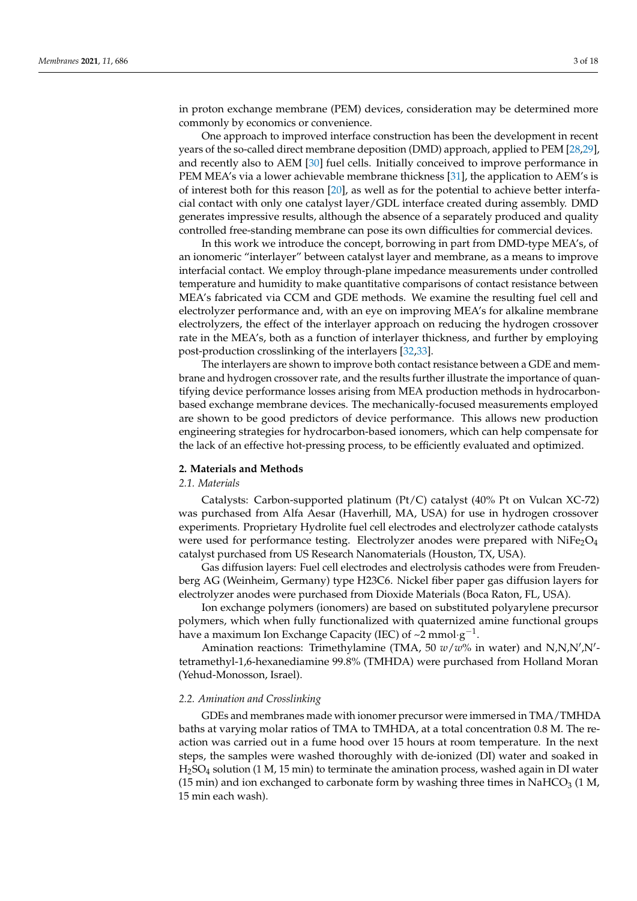in proton exchange membrane (PEM) devices, consideration may be determined more commonly by economics or convenience.

One approach to improved interface construction has been the development in recent years of the so-called direct membrane deposition (DMD) approach, applied to PEM [\[28](#page-16-12)[,29\]](#page-16-13), and recently also to AEM [\[30\]](#page-16-14) fuel cells. Initially conceived to improve performance in PEM MEA's via a lower achievable membrane thickness [\[31\]](#page-16-15), the application to AEM's is of interest both for this reason [\[20\]](#page-16-4), as well as for the potential to achieve better interfacial contact with only one catalyst layer/GDL interface created during assembly. DMD generates impressive results, although the absence of a separately produced and quality controlled free-standing membrane can pose its own difficulties for commercial devices.

In this work we introduce the concept, borrowing in part from DMD-type MEA's, of an ionomeric "interlayer" between catalyst layer and membrane, as a means to improve interfacial contact. We employ through-plane impedance measurements under controlled temperature and humidity to make quantitative comparisons of contact resistance between MEA's fabricated via CCM and GDE methods. We examine the resulting fuel cell and electrolyzer performance and, with an eye on improving MEA's for alkaline membrane electrolyzers, the effect of the interlayer approach on reducing the hydrogen crossover rate in the MEA's, both as a function of interlayer thickness, and further by employing post-production crosslinking of the interlayers [\[32,](#page-16-16)[33\]](#page-16-17).

The interlayers are shown to improve both contact resistance between a GDE and membrane and hydrogen crossover rate, and the results further illustrate the importance of quantifying device performance losses arising from MEA production methods in hydrocarbonbased exchange membrane devices. The mechanically-focused measurements employed are shown to be good predictors of device performance. This allows new production engineering strategies for hydrocarbon-based ionomers, which can help compensate for the lack of an effective hot-pressing process, to be efficiently evaluated and optimized.

# <span id="page-2-0"></span>**2. Materials and Methods**

# *2.1. Materials*

Catalysts: Carbon-supported platinum (Pt/C) catalyst (40% Pt on Vulcan XC-72) was purchased from Alfa Aesar (Haverhill, MA, USA) for use in hydrogen crossover experiments. Proprietary Hydrolite fuel cell electrodes and electrolyzer cathode catalysts were used for performance testing. Electrolyzer anodes were prepared with  $NiFe<sub>2</sub>O<sub>4</sub>$ catalyst purchased from US Research Nanomaterials (Houston, TX, USA).

Gas diffusion layers: Fuel cell electrodes and electrolysis cathodes were from Freudenberg AG (Weinheim, Germany) type H23C6. Nickel fiber paper gas diffusion layers for electrolyzer anodes were purchased from Dioxide Materials (Boca Raton, FL, USA).

Ion exchange polymers (ionomers) are based on substituted polyarylene precursor polymers, which when fully functionalized with quaternized amine functional groups have a maximum Ion Exchange Capacity (IEC) of ~2 mmol·g<sup>-1</sup>.

Amination reactions: Trimethylamine (TMA, 50  $w/w$ % in water) and N,N,N',N'tetramethyl-1,6-hexanediamine 99.8% (TMHDA) were purchased from Holland Moran (Yehud-Monosson, Israel).

#### *2.2. Amination and Crosslinking*

GDEs and membranes made with ionomer precursor were immersed in TMA/TMHDA baths at varying molar ratios of TMA to TMHDA, at a total concentration 0.8 M. The reaction was carried out in a fume hood over 15 hours at room temperature. In the next steps, the samples were washed thoroughly with de-ionized (DI) water and soaked in H2SO<sup>4</sup> solution (1 M, 15 min) to terminate the amination process, washed again in DI water (15 min) and ion exchanged to carbonate form by washing three times in NaHCO<sub>3</sub> (1 M, 15 min each wash).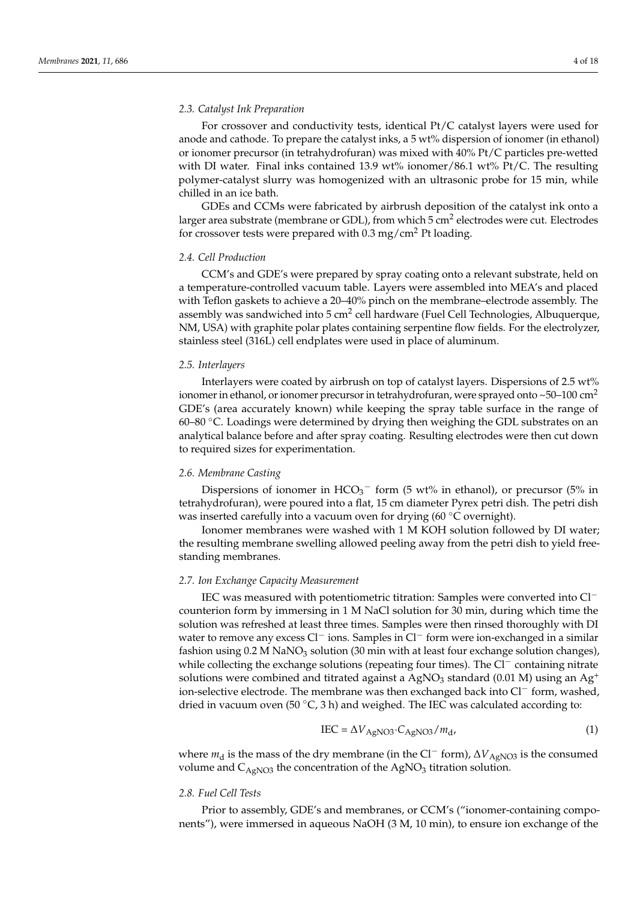# *2.3. Catalyst Ink Preparation*

For crossover and conductivity tests, identical Pt/C catalyst layers were used for anode and cathode. To prepare the catalyst inks, a 5 wt% dispersion of ionomer (in ethanol) or ionomer precursor (in tetrahydrofuran) was mixed with 40% Pt/C particles pre-wetted with DI water. Final inks contained 13.9 wt% ionomer/86.1 wt% Pt/C. The resulting polymer-catalyst slurry was homogenized with an ultrasonic probe for 15 min, while chilled in an ice bath.

GDEs and CCMs were fabricated by airbrush deposition of the catalyst ink onto a larger area substrate (membrane or GDL), from which 5 cm<sup>2</sup> electrodes were cut. Electrodes for crossover tests were prepared with  $0.3 \text{ mg/cm}^2$  Pt loading.

## *2.4. Cell Production*

CCM's and GDE's were prepared by spray coating onto a relevant substrate, held on a temperature-controlled vacuum table. Layers were assembled into MEA's and placed with Teflon gaskets to achieve a 20–40% pinch on the membrane–electrode assembly. The assembly was sandwiched into 5 cm<sup>2</sup> cell hardware (Fuel Cell Technologies, Albuquerque, NM, USA) with graphite polar plates containing serpentine flow fields. For the electrolyzer, stainless steel (316L) cell endplates were used in place of aluminum.

#### *2.5. Interlayers*

Interlayers were coated by airbrush on top of catalyst layers. Dispersions of 2.5 wt% ionomer in ethanol, or ionomer precursor in tetrahydrofuran, were sprayed onto  $\sim$  50–100 cm<sup>2</sup> GDE's (area accurately known) while keeping the spray table surface in the range of 60–80 ◦C. Loadings were determined by drying then weighing the GDL substrates on an analytical balance before and after spray coating. Resulting electrodes were then cut down to required sizes for experimentation.

## *2.6. Membrane Casting*

Dispersions of ionomer in  $HCO_3^-$  form (5 wt% in ethanol), or precursor (5% in tetrahydrofuran), were poured into a flat, 15 cm diameter Pyrex petri dish. The petri dish was inserted carefully into a vacuum oven for drying (60 ℃ overnight).

Ionomer membranes were washed with 1 M KOH solution followed by DI water; the resulting membrane swelling allowed peeling away from the petri dish to yield freestanding membranes.

### *2.7. Ion Exchange Capacity Measurement*

IEC was measured with potentiometric titration: Samples were converted into Cl<sup>−</sup> counterion form by immersing in 1 M NaCl solution for 30 min, during which time the solution was refreshed at least three times. Samples were then rinsed thoroughly with DI water to remove any excess Cl<sup>−</sup> ions. Samples in Cl<sup>−</sup> form were ion-exchanged in a similar fashion using  $0.2$  M NaNO<sub>3</sub> solution (30 min with at least four exchange solution changes), while collecting the exchange solutions (repeating four times). The Cl<sup>−</sup> containing nitrate solutions were combined and titrated against a AgNO<sub>3</sub> standard (0.01 M) using an Ag<sup>+</sup> ion-selective electrode. The membrane was then exchanged back into Cl<sup>−</sup> form, washed, dried in vacuum oven (50  $\degree$ C, 3 h) and weighed. The IEC was calculated according to:

$$
IEC = \Delta V_{AgNO3} \cdot C_{AgNO3}/m_d, \tag{1}
$$

where *m*<sub>d</sub> is the mass of the dry membrane (in the Cl<sup>−</sup> form),  $\Delta V_{\text{AgNO3}}$  is the consumed volume and  $C_{AeNO3}$  the concentration of the AgNO<sub>3</sub> titration solution.

#### *2.8. Fuel Cell Tests*

Prior to assembly, GDE's and membranes, or CCM's ("ionomer-containing components"), were immersed in aqueous NaOH (3 M, 10 min), to ensure ion exchange of the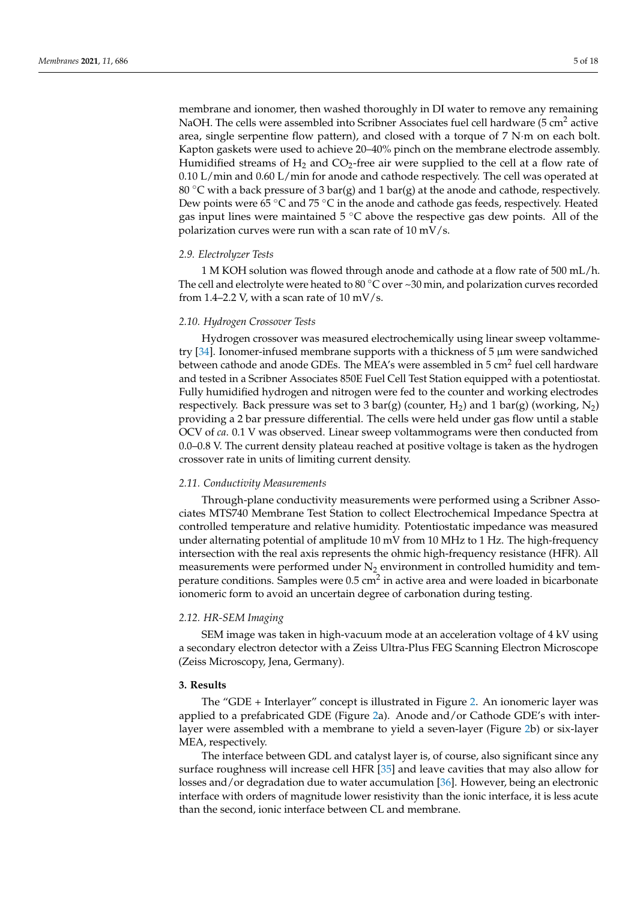membrane and ionomer, then washed thoroughly in DI water to remove any remaining NaOH. The cells were assembled into Scribner Associates fuel cell hardware (5 cm<sup>2</sup> active area, single serpentine flow pattern), and closed with a torque of 7 N·m on each bolt. Kapton gaskets were used to achieve 20–40% pinch on the membrane electrode assembly. Humidified streams of  $H_2$  and  $CO_2$ -free air were supplied to the cell at a flow rate of 0.10 L/min and 0.60 L/min for anode and cathode respectively. The cell was operated at 80 °C with a back pressure of 3 bar(g) and 1 bar(g) at the anode and cathode, respectively. Dew points were 65 °C and 75 °C in the anode and cathode gas feeds, respectively. Heated gas input lines were maintained  $5^{\circ}$ C above the respective gas dew points. All of the polarization curves were run with a scan rate of 10 mV/s.

# *2.9. Electrolyzer Tests*

1 M KOH solution was flowed through anode and cathode at a flow rate of 500 mL/h. The cell and electrolyte were heated to 80  $\degree$ C over  $\sim$ 30 min, and polarization curves recorded from 1.4–2.2 V, with a scan rate of  $10 \text{ mV/s}$ .

# *2.10. Hydrogen Crossover Tests*

Hydrogen crossover was measured electrochemically using linear sweep voltammetry [\[34\]](#page-16-18). Ionomer-infused membrane supports with a thickness of 5 µm were sandwiched between cathode and anode GDEs. The MEA's were assembled in 5 cm<sup>2</sup> fuel cell hardware and tested in a Scribner Associates 850E Fuel Cell Test Station equipped with a potentiostat. Fully humidified hydrogen and nitrogen were fed to the counter and working electrodes respectively. Back pressure was set to 3 bar(g) (counter,  $H_2$ ) and 1 bar(g) (working,  $N_2$ ) providing a 2 bar pressure differential. The cells were held under gas flow until a stable OCV of *ca*. 0.1 V was observed. Linear sweep voltammograms were then conducted from 0.0–0.8 V. The current density plateau reached at positive voltage is taken as the hydrogen crossover rate in units of limiting current density.

# *2.11. Conductivity Measurements*

Through-plane conductivity measurements were performed using a Scribner Associates MTS740 Membrane Test Station to collect Electrochemical Impedance Spectra at controlled temperature and relative humidity. Potentiostatic impedance was measured under alternating potential of amplitude 10 mV from 10 MHz to 1 Hz. The high-frequency intersection with the real axis represents the ohmic high-frequency resistance (HFR). All measurements were performed under  $N_2$  environment in controlled humidity and temperature conditions. Samples were 0.5 cm<sup>2</sup> in active area and were loaded in bicarbonate ionomeric form to avoid an uncertain degree of carbonation during testing.

# *2.12. HR-SEM Imaging*

SEM image was taken in high-vacuum mode at an acceleration voltage of 4 kV using a secondary electron detector with a Zeiss Ultra-Plus FEG Scanning Electron Microscope (Zeiss Microscopy, Jena, Germany).

# **3. Results**

The "GDE + Interlayer" concept is illustrated in Figure [2.](#page-5-0) An ionomeric layer was applied to a prefabricated GDE (Figure [2a](#page-5-0)). Anode and/or Cathode GDE's with interlayer were assembled with a membrane to yield a seven-layer (Figure [2b](#page-5-0)) or six-layer MEA, respectively.

The interface between GDL and catalyst layer is, of course, also significant since any surface roughness will increase cell HFR [\[35\]](#page-16-19) and leave cavities that may also allow for losses and/or degradation due to water accumulation [\[36\]](#page-16-20). However, being an electronic interface with orders of magnitude lower resistivity than the ionic interface, it is less acute than the second, ionic interface between CL and membrane.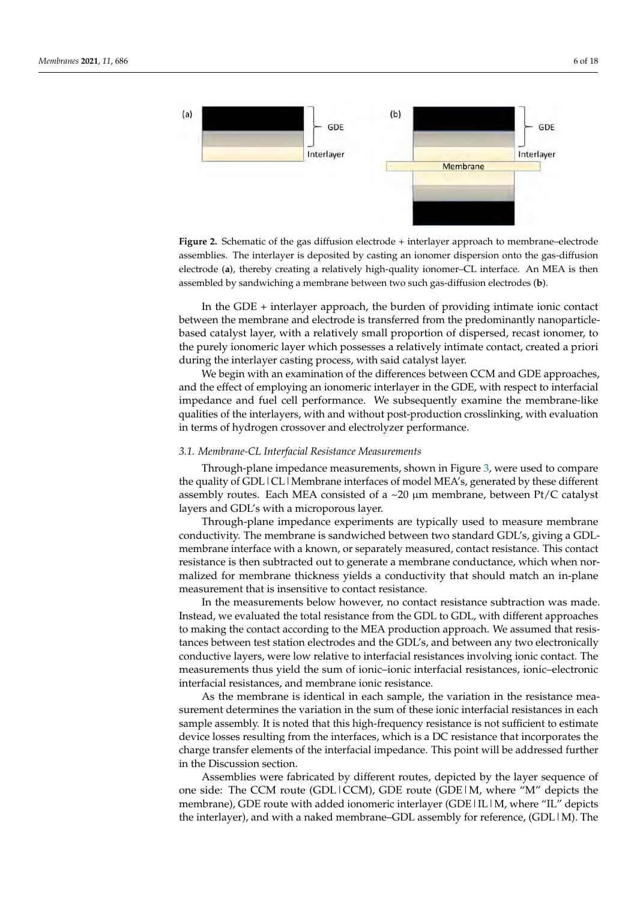<span id="page-5-0"></span>

assemblies. The interlayer is deposited by casting an ionomer dispersion onto the gas-diffusion second interlayer is deposited by casting an ionomer dispersion onto the gas-diffusion of  $\sigma$ electrode (**a**), thereby creating a relatively high-quality ionomer–CL interface. An MEA is then bled by sandwiching a membrane between two such gas-diffusion electrodes (**b**). assembled by sandwiching a membrane between two such gas-diffusion electrodes (**b**). **Figure 2.** Schematic of the gas diffusion electrode + interlayer approach to membrane–electrode

In the GDE + interlayer approach, the burden of providing intimate ionic contact<br>since the magnetic since and declined interactional from the production the proposalide based catalyst layer, with a relatively small proportion of dispersed, recast ionomer, to based duaryor diyer, which a relatively of that proportion or dispersed, redact fortently, to the purely ionomeric layer which possesses a relatively intimate contact, created a priori during the interlayer casting process, with said catalyst layer. between the membrane and electrode is transferred from the predominantly nanoparticle-

watting the sheeting of casting process) with sata cause joining on the contract of the differences between CCM and GDE approaches, and the effect of employing an ionomeric interlayer in the GDE, with respect to interfacial impedance and fuel cell performance. We subsequently examine the membrane-like qualities of the interlayers, with and without post-production crosslinking, with evaluation in terms of hydrogen crossover and electrolyzer performance. ing the interlayer casting process, with said catalyst layer.

# 3.1. Membrane-CL Interfacial Resistance Measurements

Through-plane impedance measurements, shown in Figure [3,](#page-6-0) were used to compare the quality of GDL|CL|Membrane interfaces of model MEA's, generated by these different assembly routes. Each MEA consisted of a ~20 µm membrane, between Pt/C catalyst layers and GDL's with a microporous layer.

conductivity. The membrane is sandwiched between two standard GDL's, giving a GDLmembrane interface with a known, or separately measured, contact resistance. This contact resistance is then subtracted out to generate a membrane conductance, which when normalized for membrane thickness yields a conductivity that should match an in-plane measurement that is insensitive to contact resistance. Through-plane impedance experiments are typically used to measure membrane

In the measurements below however, no contact resistance subtraction was made. Instead, we evaluated the total resistance from the GDL to GDL, with different approaches to making the contact according to the MEA production approach. We assumed that resistances between test station electrodes and the GDL's, and between any two electronically conductive layers, were low relative to interfacial resistances involving ionic contact. The measurements thus yield the sum of ionic–ionic interfacial resistances, ionic–electronic interfacial resistances, and membrane ionic resistance.

As the membrane is identical in each sample, the variation in the resistance measurement determines the variation in the sum of these ionic interfacial resistances in each sample assembly. It is noted that this high-frequency resistance is not sufficient to estimate device losses resulting from the interfaces, which is a DC resistance that incorporates the charge transfer elements of the interfacial impedance. This point will be addressed further tronic interfacial resistances, and membersheet interfacial resistance. in the Discussion section.

Assemblies were fabricated by different routes, depicted by the layer sequence of one side: The CCM route (GDL|CCM), GDE route (GDE|M, where "M" depicts the membrane), GDE route with added ionomeric interlayer (GDE|IL|M, where "IL" depicts  $\frac{1}{2}$ the interlayer), and with a naked membrane–GDL assembly for reference, (GDL  $|M$ ). The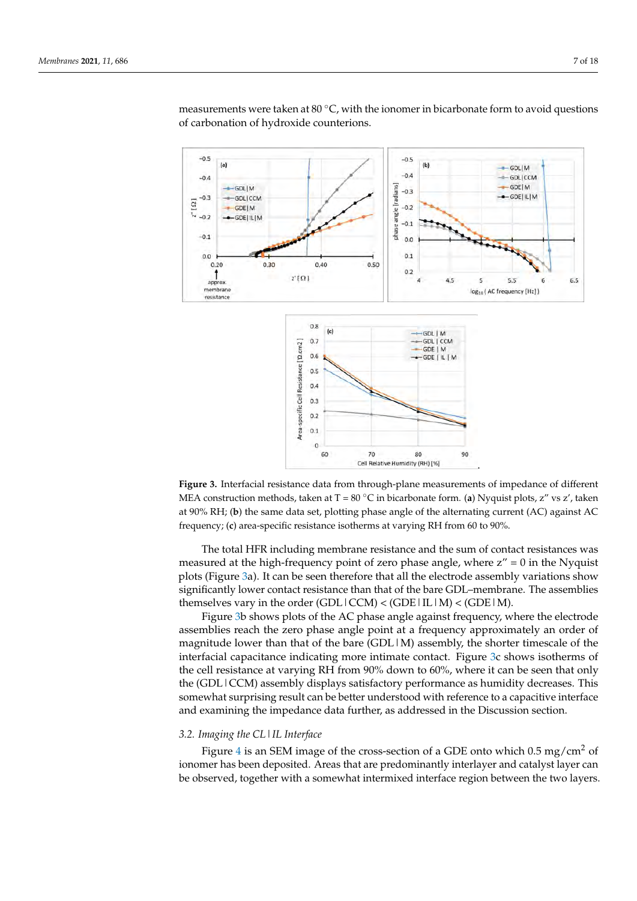<span id="page-6-0"></span>

measurements were taken at 80 °C, with the ionomer in bicarbonate form to avoid questions of carbonation of hydroxide counterions. tions of carbonation of hydroxide counterions.  $m$ easurements were taken at  $\delta 0^\circ$ C, with the ionomer in bicarbonate form to avoid questions

side: The CCM route (GDL  $\alpha$  ), GDL  $\alpha$  route (GDL  $\alpha$  mem- $M$  depicts the mem-

**Figure 3.** Interfacial resistance data from through-plane measurements of impedance of different **Figure 3.** Interfacial resistance data from through-plane measurements of impedance of different MEA construction methods, taken at T = 80 ℃ in bicarbonate form. (**a**) Nyquist plots, z" vs z', taken MEA construction methods, taken at T = 80 ◦C in bicarbonate form. (**a**) Nyquist plots, z" vs z', taken at 90% RH; (b) the same data set, plotting phase angle of the alternating current (AC) against AC frequency; (**c**) area-specific resistance isotherms at varying RH from 60 to 90%. frequency; (**c**) area-specific resistance isotherms at varying RH from 60 to 90%.

The total HFR including membrane resistance and the sum of contact resistances was The total HFR including membrane resistance and the sum of contact resistances was measured at the high-frequency point of zero phase angle, where z" = 0 in the Nyquist measured at the high-frequency point of zero phase angle, where z" = 0 in the Nyquist plots (Figure [3a](#page-6-0)). It can be seen therefore that all the electrode assembly variations show plots (Figure 3a). It can be seen therefore that all the electrode assembly variations show significantly lower contact resistance than that of the bare GDL-membrane. The assemblies themselves vary in the order  $(GDL|CCM) < (GDE|IL|M) < (GDE|M)$ .

Figure [3b](#page-6-0) shows plots of the AC phase angle against frequency, where the electrode Figure 3b shows plots of the AC phase angle against frequency, where the electrode assemblies reach the zero phase angle point at a frequency approximately an order of assemblies reach the zero phase angle point at a frequency approximately an order of magnitude lower than that of the bare  $(GDL|M)$  assembly, the shorter timescale of the interfacial capacitance indicating more intimate contact. Figure 3c [sh](#page-6-0)ows isotherms of the cell resistance at varying RH from  $90\%$  down to  $60\%$ , where it can be seen that only (GDL | CCM) assembly displays satisfactory performance as humidity decreases. This the (GDL|CCM) assembly displays satisfactory performance as humidity decreases. This somewhat surprising result can be better understood with reference to a capacitive interface face and examining the impedance data further, as addressed in the Discussion section. and examining the impedance data further, as addressed in the Discussion section.

#### *3.2. Imaging the CL|IL Interface*

Figure [4](#page-7-0) is an SEM image of the cross-section of a GDE onto which  $0.5 \text{ mg/cm}^2$  of ionomer has been deposited. Areas that are predominantly interlayer and catalyst layer can be observed, together with a somewhat intermixed interface region between the two layers.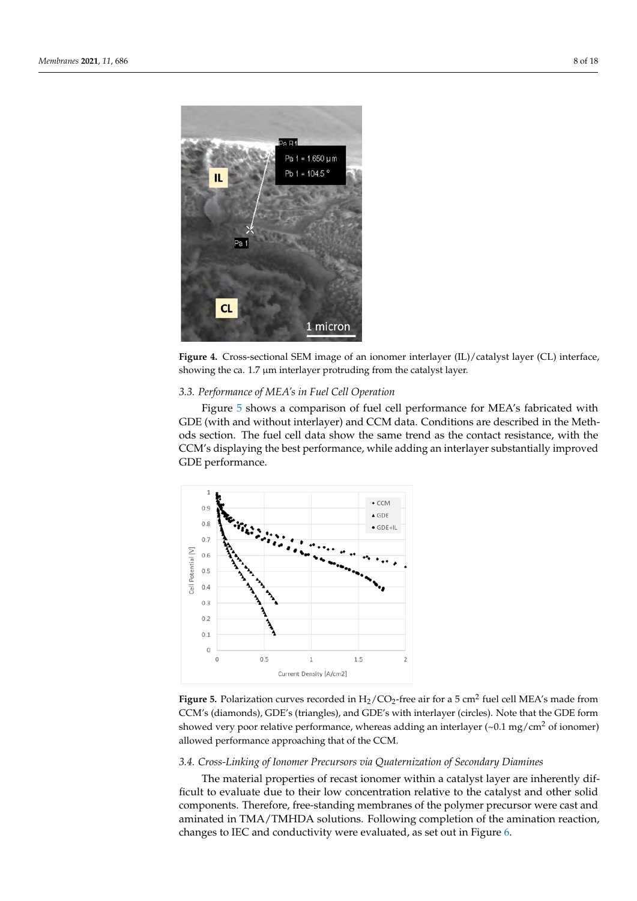<span id="page-7-0"></span>

**Figure 4.**   $\frac{1}{2}$  is a section of an ion interlayer months of an ion interface,  $\frac{1}{2}$  is a section of  $\frac{1}{2}$  interface,  $\frac{1}{2}$  is a section of  $\frac{1}{2}$  interface,  $\frac{1}{2}$  is a section of  $\frac{1}{2}$  interfa showing the ca. 1.7 µm interlayer protruding from the catalyst layer. showing the ca. 1.7 µm interlayer protruding from the catalyst layer. showing the ca. 1.7 µm interlayer protruding from the catalyst layer. **Figure 4.** Cross-sectional SEM image of an ionomer interlayer (IL)/catalyst layer (CL) interface,

# *3.3. Performance of MEA's in Fuel Cell Operation*

Figure [5](#page-7-1) shows a comparison of fuel cell performance for MEA's fabricated with GDE (with and without interlayer) and CCM data. Conditions are described in the Methods section. The fuel cell data show the same trend as the contact resistance, with the CCM's displaying the best performance, while adding an interlayer substantially improved the CCM's displaying the best performance, which are interlayer substantially substantially substantially substantially substantially substantially substantially substantially substantially substantially substantially subs

<span id="page-7-1"></span>

**Figure 5. Figure 5. Figure 5. Figure 5. Figure 5. Figure 5. Figure 5. Figure 5. Figure 5. Figure 5. Figure 5. Figure 5. Figure 5. Figure 5. Figure 5. Figure 5. Figure 5. Figure 5. Figur** CCM's (diamonds), GDE's (triangles), and GDE's with interlayer (circles). Note that the GDE form showed very poor relative performance, whereas adding an interlayer  $({\sim}0.1 \text{ mg/cm}^2 \text{ of ionomer})$ allowed performance approaching that of the CCM. allowed performance approaching that of the CCM. allowed performance approaching that of the CCM. CCM's (diamonds), GDE's (triangles), and GDE's with interlayer (circles). Note that the GDE form CCM's (diamonds), GDE's (triangles), and GDE's with interlayer (circles). Note that the GDE form **Figure 5.** Polarization curves recorded in  $H_2/CO_2$ -free air for a 5 cm<sup>2</sup> fuel cell MEA's made from

# *3.4. Cross-Linking of Ionomer Precursors via Quaternization of Secondary Diamines*

The material properties of recast ionomer within a catalyst layer are inherently difficult to evaluate due to their low concentration relative to the catalyst and other solid components. Therefore, free-standing membranes of the polymer precursor were cast and aminated in TMA/TMHDA solutions. Following completion of the amination reaction, changes to IEC and conductivity were evaluated, as set out in Figure [6.](#page-8-0)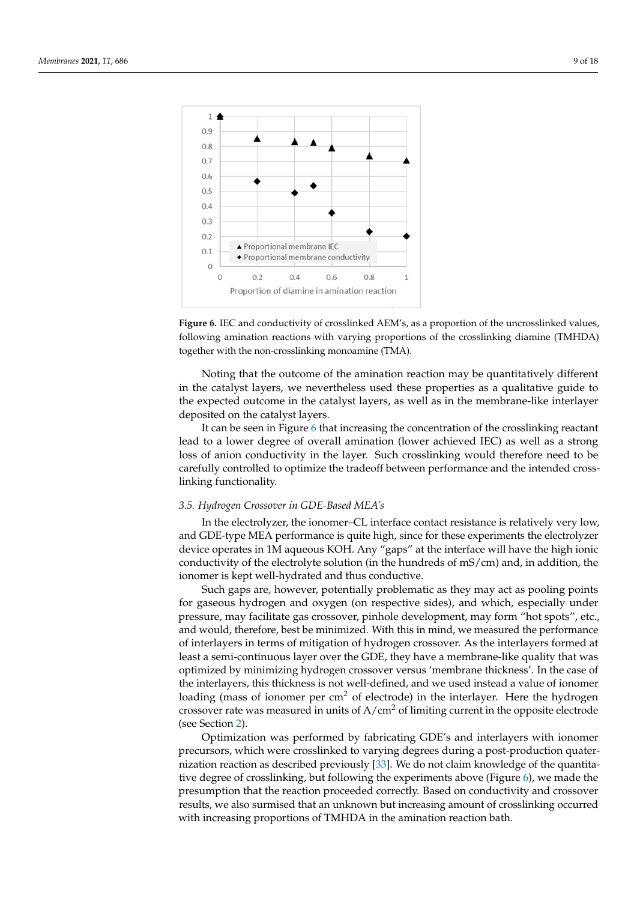<span id="page-8-0"></span>

**Figure 6.**  IEC and conductivity of conductivity of conductivity of conductivity of the uncrosslinked  $T_{\rm{N}}$  at  $T_{\rm{N}}$ following amination reactions with varying proportions of the crosslinking diamine (TMHDA) together with the non-crosslinking monoamine (TMA). together with the non-crosslinking monoamine (TMA). **Figure 6.** IEC and conductivity of crosslinked AEM's, as a proportion of the uncrosslinked values,

*3.5. Hydrogen Crossover in GDE-based MEA's*  in the catalyst layers, we nevertheless used these properties as a qualitative guide to the expected outcome in the catalyst layers, as well as in the membrane-like interlayer deposited on the catalyst layers. The electro-since for the electro-since for the electro-since for the electro-Noting that the outcome of the amination reaction may be quantitatively different

It can be seen in Figure 6 that increasing the concentration of the crosslinking reactant lead to a lower degree of overall amination (lower achieved IEC) as well as a strong loss of anion conductivity in the layer. Such crosslinking would therefore need to be carefully controlled to optimize the tradeoff between performance and the intended crosslinking functionality. The sides of respective sides of respective sides, and which, especially under present

# 3.5. Hydrogen Crossover in GDE-Based MEA's

In the electrolyzer, the ionomer–CL interface contact resistance is relatively very low, and GDE-type MEA performance is quite high, since for these experiments the electrolyzer device operates in 1M aqueous KOH. Any "gaps" at the interface will have the high ionic conductivity of the electrolyte solution (in the hundreds of  $mS/cm$ ) and, in addition, the ionomer is kept well-hydrated and thus conductive.

Such gaps are, however, potentially problematic as they may act as pooling points for gaseous hydrogen and oxygen (on respective sides), and which, especially under pressure, may facilitate gas crossover, pinhole development, may form "hot spots", etc., and would, therefore, best be minimized. With this in mind, we measured the performance of interlayers in terms of mitigation of hydrogen crossover. As the interlayers formed at least a semi-continuous layer over the GDE, they have a membrane-like quality that was optimized by minimizing hydrogen crossover versus 'membrane thickness'. In the case of the interlayers, this thickness is not well-defined, and we used instead a value of ionomer loading (mass of ionomer per  $cm<sup>2</sup>$  of electrode) in the interlayer. Here the hydrogen crossover rate was measured in units of  $A/cm<sup>2</sup>$  of limiting current in the opposite electrode (see Section [2\)](#page-2-0).

Optimization was performed by fabricating GDE's and interlayers with ionomer precursors, which were crosslinked to varying degrees during a post-production quaternization reaction as described previously [\[33\]](#page-16-17). We do not claim knowledge of the quantitative degree of crosslinking, but following the experiments above (Figure [6\)](#page-8-0), we made the presumption that the reaction proceeded correctly. Based on conductivity and crossover results, we also surmised that an unknown but increasing amount of crosslinking occurred with increasing proportions of TMHDA in the amination reaction bath.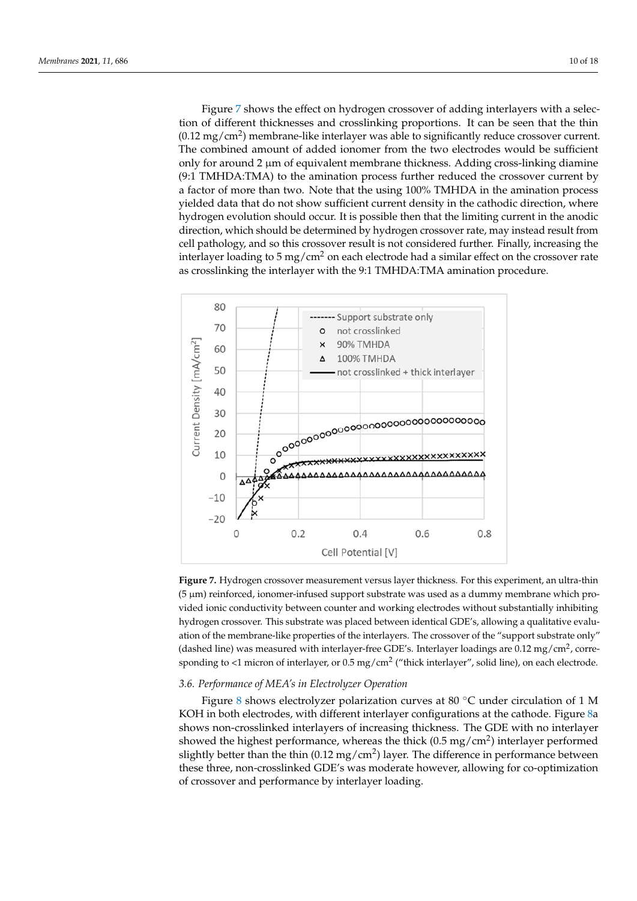Figure [7](#page-9-0) shows the effect on hydrogen crossover of adding interlayers with a selection of different thicknesses and crosslinking proportions. It can be seen that the thin  $(0.12 \text{ mg/cm}^2)$  membrane-like interlayer was able to significantly reduce crossover current. The combined amount of added ionomer from the two electrodes would be sufficient only for around 2  $\mu$ m of equivalent membrane thickness. Adding cross-linking diamine  $(9.1$  TMHDA:TMA) to the amination process further reduced the crossover current by a factor of more than two. Note that the using 100% TMHDA in the amination process yielded data that do not show sufficient current density in the cathodic direction, where .<br>hydrogen evolution should occur. It is possible then that the limiting current in the anodic direction, which should be determined by hydrogen crossover rate, may instead result from cell pathology, and so this crossover result is not considered further. Finally, increasing the interlayer loading to 5 mg/cm<sup>2</sup> on each electrode had a similar effect on the crossover rate as crosslinking the interlayer with the 9:1 TMHDA:TMA amination procedure.

sumption that the reaction proceeded correctly. Based on conductivity and crossover  $\mathcal{L}_\mathcal{S}$ 

<span id="page-9-0"></span>

**Figure 7.** Hydrogen crossover measurement versus layer thickness. For this experiment, an ultra-**Figure 7.** Hydrogen crossover measurement versus layer thickness. For this experiment, an ultra-thin thin (5 m) reinforced, ionomer-infused support substrate was used as a dummy membrane (5 µm) reinforced, ionomer-infused support substrate was used as a dummy membrane which provided ionic conductivity between counter and working electrodes without substantially inhibiting hydrogen crossover. This substrate was placed between identical GDE's, allowing a qualitative evaluation of the membrane-like properties of the interlayers. The crossover of the "support substrate only" (dashed line) was measured with interlayer-free GDE's. Interlayer loadings are 0.12 mg/cm<sup>2</sup>, corre- $\frac{1}{2}$  mg/cm2 ("thick interlayer", or 0.12 mg/cm<sup>2</sup> ("thick interlayer", or 0.14 line), or order destroyed sponding to <1 micron of interlayer, or  $0.5 \text{ mg/cm}^2$  ("thick interlayer", solid line), on each electrode.

# *3.6. Performance of MEA's in Electrolyzer Operation*

Figure [8](#page-10-0) shows electrolyzer polarization curves at 80 °C under circulation of 1 M KOH in both electrodes, with different interlayer configurations at the cathode. Figure 8a shows non-crosslinked interlayers of increasing thickness. The GDE with no interlayer showed the highest performance, whereas the thick (0.5 mg/cm<sup>2</sup>) interlayer performed slightly better than the thin (0.12 mg/cm<sup>2</sup>) layer. The difference in performance between these three, non-crosslinked GDE's was moderate however, allowing for co-optimization of crossover and performance by interlayer loading.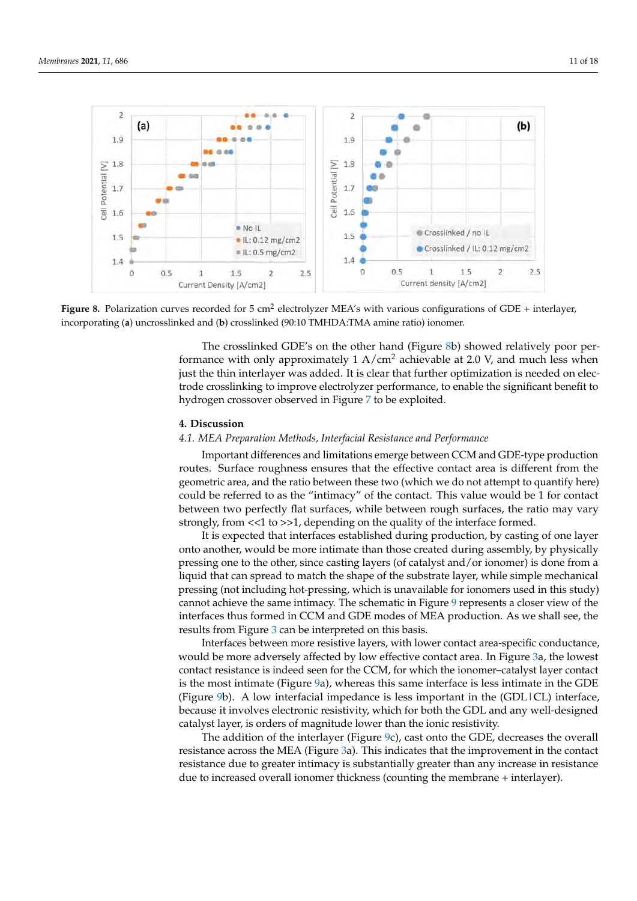<span id="page-10-0"></span>

Figure 8. Polarization curves recorded for  $5 \text{ cm}^2$  electrolyzer MEA's with various configurations of GDE + interlayer, corporating (**a**) uncrosslinked and (**b**) crosslinked (90:10 TMHDA:TMA amine ratio) ionomer. incorporating (**a**) uncrosslinked and (**b**) crosslinked (90:10 TMHDA:TMA amine ratio) ionomer.

The crosslinked GDE's on the other hand (Figure [8b](#page-10-0)) showed relatively poor performance with only approximately 1 A/cm<sup>2</sup> achievable at 2.0 V, and much less when just the thin interlayer was added. It is clear that further optimization is needed on elec-<br>interlayer was added. It is clear that further optimization is needed on electrode crosslinking to improve electrolyzer performance, to enable the significant benefit to hydrogen crossover observed in Figure [7](#page-9-0) to be exploited.

linking to improve electrolyzer performance, to enable the significant benefit to hydrogen

# here) could be referred to as the "intimacy" of the contact. This value would be 1 for con-**4. Discussion**

# 4.1. MEA Preparation Methods, Interfacial Resistance and Performance

strongly, from <<1 to >>1, depending on the quality of the interface formed. Important differences and limitations emerge between CCM and GDE-type production routes. Surface roughness ensures that the effective contact area is different from the<br>routes. Surface rough the effective contact area is different from the example of the effective geometric area, and the ratio between these two (which we do not attempt to quantity nero) could be referred to as the "intimacy" of the contact. This value would be 1 for contact between two perfectly flat surfaces, while between rough surfaces, the ratio may vary between two perfectly hat surfacely while setween rough surfacely the ratio may vary<br>strongly, from <<1 to >>1, depending on the quality of the interface formed. geometric area, and the ratio between these two (which we do not attempt to quantify here)

It is expected that interfaces established during production, by casting of one layer  $\alpha$  is expected that interfaces established during production,  $\epsilon_y$  casing of the mysic onto another, would be more intimate than those created during assembly, by physically pressing one to the other, since casting layers (of catalyst and/or ionomer) is done from a liquid that can spread to match the shape of the substrate layer, while simple mechanical pressing (not including hot-pressing, which is unavailable for ionomers used in this study) cannot achieve the same intimacy. The schematic in Figure [9](#page-11-0) represents a closer view of the interfaces thus formed in CCM and GDE modes of MEA production. As we shall see, the results from Figure [3](#page-6-0) can be interpreted on this basis.

Interfaces between more resistive layers, with lower contact area-specific conductance, would be more adversely affected by low effective contact area. In Figure [3a](#page-6-0), the lowest contact resistance is indeed seen for the CCM, for which the ionomer–catalyst layer contact is the most intimate (Figure  $9a$ ), whereas this same interface is less intimate in the GDE (Figure [9b](#page-11-0)). A low interfacial impedance is less important in the (GDL|CL) interface, because it involves electronic resistivity, which for both the GDL and any well-designed catalyst layer, is orders of magnitude lower than the ionic resistivity.

The addition of the interlayer (Figure [9c](#page-11-0)), cast onto the GDE, decreases the overall resistance across the MEA (Figure [3a](#page-6-0)). This indicates that the improvement in the contact resistance due to greater intimacy is substantially greater than any increase in resistance due to increased overall ionomer thickness (counting the membrane + interlayer).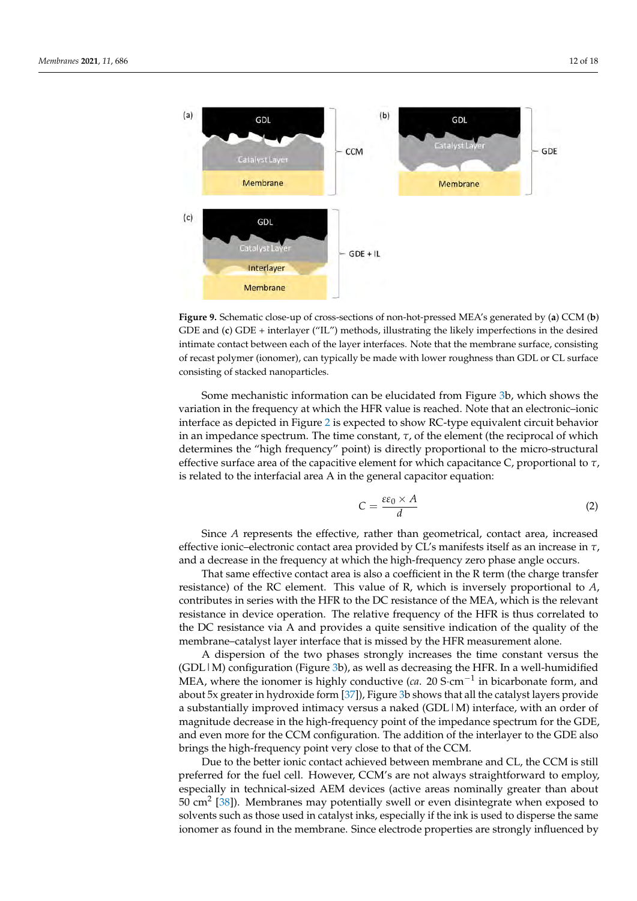<span id="page-11-0"></span>

**Figure 9.** Schematic close-up of cross-sections of non-hot-pressed MEA's generated by (a) CCM (b) GDE and (**c**) GDE + interlayer ("IL") methods, illustrating the likely imperfections in the desired GDE and (**c**) GDE + interlayer ("IL") methods, illustrating the likely imperfections in the desired intimate contact between each of the layer interfaces. Note that the membrane surface, consisting intimate contact between each of the layer interfaces. Note that the membrane surface, consisting of recast polymer (ionomer), can typically be made with lower roughness than GDL or CL surface consisting of stacked nanoparticles. consisting of stacked nanoparticles.

Some mechanistic information can be elucidated from Figure 3b, which shows the variation in the frequency at which the HFR value is reached. Note that an electronic-ionic interface as depicted in Figure 2 is expected to show RC-type equivalent circuit behavior in an impedance spectrum. The time constant,  $\tau$ , of the element (the reciprocal of which determines the "high frequency" point) is directly proportional to the micro-structural effective surface area of the capacitive element for which capacitance C, proportional to *τ*, is related to the interfacial area A in the general capacitor equation:

$$
C = \frac{\varepsilon \varepsilon_0 \times A}{d} \tag{2}
$$

Since *A* represents the effective, rather than geometrical, contact area, increased effective ionic–electronic contact area provided by CL's manifests itself as an increase in  $\tau$ , and a decrease in the frequency at which the high-frequency zero phase angle occurs.

That same effective contact area is also a coefficient in the R term (the charge transfer resistance) of the RC element. This value of R, which is inversely proportional to *A*, contributes in series with the HFR to the DC resistance of the MEA, which is the relevant resistance in device operation. The relative frequency of the HFR is thus correlated to the DC resistance via A and provides a quite sensitive indication of the quality of the membrane–catalyst layer interface that is missed by the HFR measurement alone.

A dispersion of the two phases strongly increases the time constant versus the (GDL | M) configuration (Figure [3b](#page-6-0)), as well as decreasing the HFR. In a well-humidified MEA, where the ionomer is highly conductive (*ca*. 20 S·cm<sup>−1</sup> in bicarbonate form, and about 5x greater in hydroxide form [\[37\]](#page-16-21)), Figure [3b](#page-6-0) shows that all the catalyst layers provide a substantially improved intimacy versus a naked (GDL|M) interface, with an order of magnitude decrease in the high-frequency point of the impedance spectrum for the GDE,<br>magnitude decrease in the high-frequency point of the impedance spectrum for the GDE, and even more for the CCM configuration. The addition of the interlayer to the GDE also brings the high-frequency point very close to that of the CCM.

Due to the better ionic contact achieved between membrane and CL, the CCM is still  $\epsilon$ preferred for the fuel cell. However, CCM's are not always straightforward to employ,<br>presented the industrial circle AFM device (orting agreement allowed the fuel celevative  $50 \text{ cm}^2$  [\[38\]](#page-16-22)). Membranes may potentially swell or even disintegrate when exposed to so can  $[60]$ . Membranes may potentially swell of even disintegrate when exposed to solvents such as those used in catalyst inks, especially if the ink is used to disperse the same in the interval bicarbonate form, and about 5x conductive (*ca.* 20 Secure 5x conductive form, and about 5x conduction of the membrane. Since electrode properties are strongly influenced by especially in technical-sized AEM devices (active areas nominally greater than about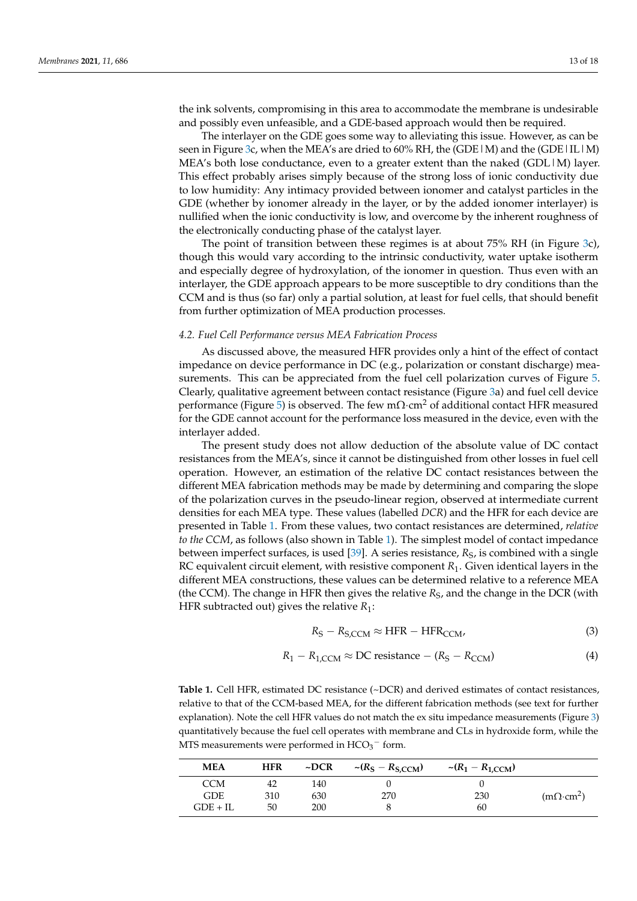the ink solvents, compromising in this area to accommodate the membrane is undesirable and possibly even unfeasible, and a GDE-based approach would then be required.

The interlayer on the GDE goes some way to alleviating this issue. However, as can be seen in Figure [3c](#page-6-0), when the MEA's are dried to  $60\%$  RH, the (GDE | M) and the (GDE | IL | M) MEA's both lose conductance, even to a greater extent than the naked (GDL  $|M\rangle$  layer. This effect probably arises simply because of the strong loss of ionic conductivity due to low humidity: Any intimacy provided between ionomer and catalyst particles in the GDE (whether by ionomer already in the layer, or by the added ionomer interlayer) is nullified when the ionic conductivity is low, and overcome by the inherent roughness of the electronically conducting phase of the catalyst layer.

The point of transition between these regimes is at about 75% RH (in Figure [3c](#page-6-0)), though this would vary according to the intrinsic conductivity, water uptake isotherm and especially degree of hydroxylation, of the ionomer in question. Thus even with an interlayer, the GDE approach appears to be more susceptible to dry conditions than the CCM and is thus (so far) only a partial solution, at least for fuel cells, that should benefit from further optimization of MEA production processes.

# *4.2. Fuel Cell Performance versus MEA Fabrication Process*

As discussed above, the measured HFR provides only a hint of the effect of contact impedance on device performance in DC (e.g., polarization or constant discharge) measurements. This can be appreciated from the fuel cell polarization curves of Figure [5.](#page-7-1) Clearly, qualitative agreement between contact resistance (Figure [3a](#page-6-0)) and fuel cell device performance (Figure [5\)](#page-7-1) is observed. The few m $\Omega$ ·cm<sup>2</sup> of additional contact HFR measured for the GDE cannot account for the performance loss measured in the device, even with the interlayer added.

The present study does not allow deduction of the absolute value of DC contact resistances from the MEA's, since it cannot be distinguished from other losses in fuel cell operation. However, an estimation of the relative DC contact resistances between the different MEA fabrication methods may be made by determining and comparing the slope of the polarization curves in the pseudo-linear region, observed at intermediate current densities for each MEA type. These values (labelled *DCR*) and the HFR for each device are presented in Table [1.](#page-12-0) From these values, two contact resistances are determined, *relative to the CCM*, as follows (also shown in Table [1\)](#page-12-0). The simplest model of contact impedance between imperfect surfaces, is used [\[39\]](#page-16-23). A series resistance, R<sub>S</sub>, is combined with a single RC equivalent circuit element, with resistive component *R*1. Given identical layers in the different MEA constructions, these values can be determined relative to a reference MEA (the CCM). The change in HFR then gives the relative *R<sub>S</sub>*, and the change in the DCR (with HFR subtracted out) gives the relative *R*1:

$$
R_{\rm S} - R_{\rm S,CCM} \approx \text{HFR} - \text{HFR}_{\rm CCM},\tag{3}
$$

$$
R_1 - R_{1,CCM} \approx DC \text{ resistance} - (R_S - R_{CCM}) \tag{4}
$$

<span id="page-12-0"></span>Table 1. Cell HFR, estimated DC resistance (~DCR) and derived estimates of contact resistances, relative to that of the CCM-based MEA, for the different fabrication methods (see text for further explanation). Note the cell HFR values do not match the ex situ impedance measurements (Figure [3\)](#page-6-0) quantitatively because the fuel cell operates with membrane and CLs in hydroxide form, while the MTS measurements were performed in  $HCO_3^-$  form.

| <b>MEA</b>               | <b>HFR</b> | $\neg DCR$ | $\sim (R_S - R_{S,CCM})$ | $\sim (R_1 - R_{1,CCM})$ |                        |
|--------------------------|------------|------------|--------------------------|--------------------------|------------------------|
| <b>CCM</b><br><b>GDE</b> | 42<br>310  | 140<br>630 | 270                      | 230                      | $(m\Omega \cdot cm^2)$ |
| $GDE + IL$               | 50         | 200        |                          | 60                       |                        |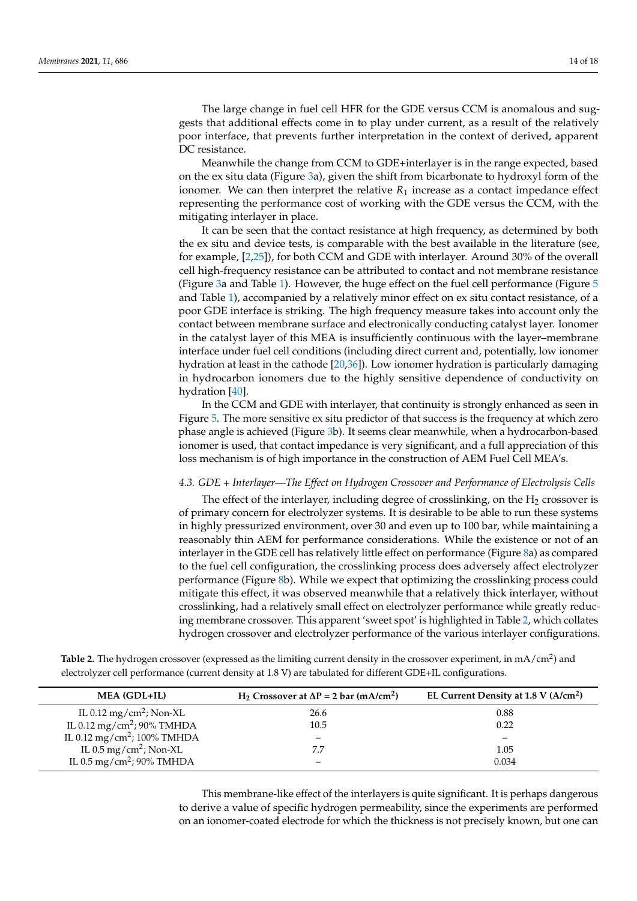The large change in fuel cell HFR for the GDE versus CCM is anomalous and suggests that additional effects come in to play under current, as a result of the relatively poor interface, that prevents further interpretation in the context of derived, apparent DC resistance.

Meanwhile the change from CCM to GDE+interlayer is in the range expected, based on the ex situ data (Figure [3a](#page-6-0)), given the shift from bicarbonate to hydroxyl form of the ionomer. We can then interpret the relative  $R_1$  increase as a contact impedance effect representing the performance cost of working with the GDE versus the CCM, with the mitigating interlayer in place.

It can be seen that the contact resistance at high frequency, as determined by both the ex situ and device tests, is comparable with the best available in the literature (see, for example, [\[2](#page-15-1)[,25\]](#page-16-9)), for both CCM and GDE with interlayer. Around 30% of the overall cell high-frequency resistance can be attributed to contact and not membrane resistance (Figure [3a](#page-6-0) and Table [1\)](#page-12-0). However, the huge effect on the fuel cell performance (Figure [5](#page-7-1) and Table [1\)](#page-12-0), accompanied by a relatively minor effect on ex situ contact resistance, of a poor GDE interface is striking. The high frequency measure takes into account only the contact between membrane surface and electronically conducting catalyst layer. Ionomer in the catalyst layer of this MEA is insufficiently continuous with the layer–membrane interface under fuel cell conditions (including direct current and, potentially, low ionomer hydration at least in the cathode [\[20,](#page-16-4)[36\]](#page-16-20)). Low ionomer hydration is particularly damaging in hydrocarbon ionomers due to the highly sensitive dependence of conductivity on hydration [\[40\]](#page-17-0).

In the CCM and GDE with interlayer, that continuity is strongly enhanced as seen in Figure [5.](#page-7-1) The more sensitive ex situ predictor of that success is the frequency at which zero phase angle is achieved (Figure [3b](#page-6-0)). It seems clear meanwhile, when a hydrocarbon-based ionomer is used, that contact impedance is very significant, and a full appreciation of this loss mechanism is of high importance in the construction of AEM Fuel Cell MEA's.

#### *4.3. GDE + Interlayer—The Effect on Hydrogen Crossover and Performance of Electrolysis Cells*

The effect of the interlayer, including degree of crosslinking, on the  $H_2$  crossover is of primary concern for electrolyzer systems. It is desirable to be able to run these systems in highly pressurized environment, over 30 and even up to 100 bar, while maintaining a reasonably thin AEM for performance considerations. While the existence or not of an interlayer in the GDE cell has relatively little effect on performance (Figure [8a](#page-10-0)) as compared to the fuel cell configuration, the crosslinking process does adversely affect electrolyzer performance (Figure [8b](#page-10-0)). While we expect that optimizing the crosslinking process could mitigate this effect, it was observed meanwhile that a relatively thick interlayer, without crosslinking, had a relatively small effect on electrolyzer performance while greatly reducing membrane crossover. This apparent 'sweet spot' is highlighted in Table [2,](#page-13-0) which collates hydrogen crossover and electrolyzer performance of the various interlayer configurations.

<span id="page-13-0"></span>Table 2. The hydrogen crossover (expressed as the limiting current density in the crossover experiment, in mA/cm<sup>2</sup>) and electrolyzer cell performance (current density at 1.8 V) are tabulated for different GDE+IL configurations.

| <b>MEA</b> (GDL+IL)                     | H <sub>2</sub> Crossover at $\Delta P = 2$ bar (mA/cm <sup>2</sup> ) | EL Current Density at 1.8 V (A/cm <sup>2</sup> ) |
|-----------------------------------------|----------------------------------------------------------------------|--------------------------------------------------|
| IL 0.12 mg/cm <sup>2</sup> ; Non-XL     | 26.6                                                                 | 0.88                                             |
| IL 0.12 mg/cm <sup>2</sup> ; 90% TMHDA  | 10.5                                                                 | 0.22                                             |
| IL 0.12 mg/cm <sup>2</sup> ; 100% TMHDA | $\overline{\phantom{a}}$                                             |                                                  |
| IL $0.5 \,\mathrm{mg/cm^2}$ ; Non-XL    | 7.7                                                                  | 1.05                                             |
| IL 0.5 mg/cm <sup>2</sup> ; 90% TMHDA   |                                                                      | 0.034                                            |

This membrane-like effect of the interlayers is quite significant. It is perhaps dangerous to derive a value of specific hydrogen permeability, since the experiments are performed on an ionomer-coated electrode for which the thickness is not precisely known, but one can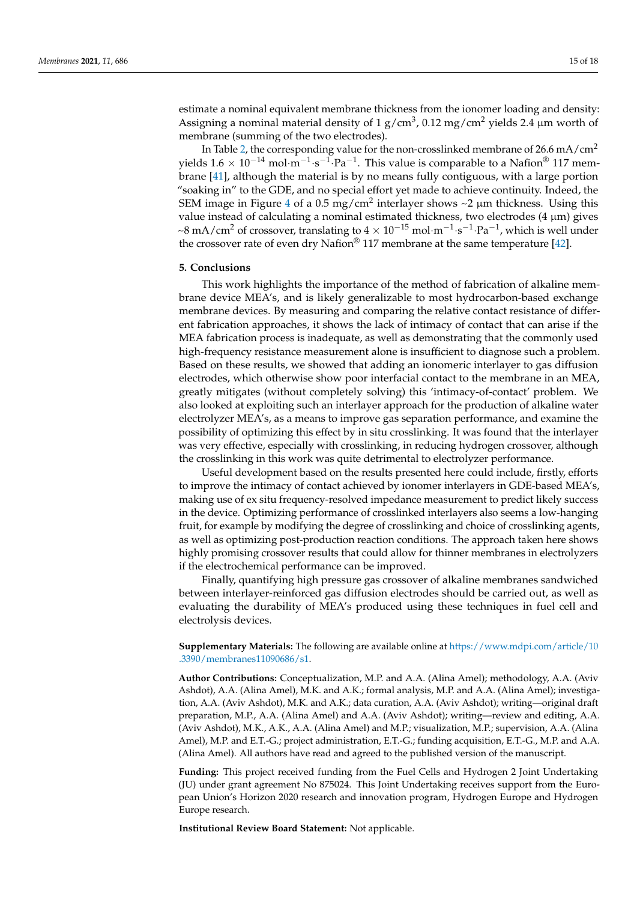estimate a nominal equivalent membrane thickness from the ionomer loading and density: Assigning a nominal material density of 1 g/cm<sup>3</sup>, 0.12 mg/cm<sup>2</sup> yields 2.4  $\mu$ m worth of membrane (summing of the two electrodes).

In Table [2,](#page-13-0) the corresponding value for the non-crosslinked membrane of 26.6 mA/cm<sup>2</sup> yields 1.6 × 10<sup>-14</sup> mol·m<sup>-1</sup>·s<sup>-1</sup>·Pa<sup>-1</sup>. This value is comparable to a Nafion® 117 membrane [\[41\]](#page-17-1), although the material is by no means fully contiguous, with a large portion "soaking in" to the GDE, and no special effort yet made to achieve continuity. Indeed, the SEM image in Figure [4](#page-7-0) of a 0.5 mg/cm<sup>2</sup> interlayer shows ~2  $\mu$ m thickness. Using this value instead of calculating a nominal estimated thickness, two electrodes (4 µm) gives ~8 mA/cm<sup>2</sup> of crossover, translating to  $4 \times 10^{-15}$  mol·m<sup>-1</sup>·s<sup>-1</sup>·Pa<sup>-1</sup>, which is well under the crossover rate of even dry Nafion<sup>®</sup> 117 membrane at the same temperature [\[42\]](#page-17-2).

## **5. Conclusions**

This work highlights the importance of the method of fabrication of alkaline membrane device MEA's, and is likely generalizable to most hydrocarbon-based exchange membrane devices. By measuring and comparing the relative contact resistance of different fabrication approaches, it shows the lack of intimacy of contact that can arise if the MEA fabrication process is inadequate, as well as demonstrating that the commonly used high-frequency resistance measurement alone is insufficient to diagnose such a problem. Based on these results, we showed that adding an ionomeric interlayer to gas diffusion electrodes, which otherwise show poor interfacial contact to the membrane in an MEA, greatly mitigates (without completely solving) this 'intimacy-of-contact' problem. We also looked at exploiting such an interlayer approach for the production of alkaline water electrolyzer MEA's, as a means to improve gas separation performance, and examine the possibility of optimizing this effect by in situ crosslinking. It was found that the interlayer was very effective, especially with crosslinking, in reducing hydrogen crossover, although the crosslinking in this work was quite detrimental to electrolyzer performance.

Useful development based on the results presented here could include, firstly, efforts to improve the intimacy of contact achieved by ionomer interlayers in GDE-based MEA's, making use of ex situ frequency-resolved impedance measurement to predict likely success in the device. Optimizing performance of crosslinked interlayers also seems a low-hanging fruit, for example by modifying the degree of crosslinking and choice of crosslinking agents, as well as optimizing post-production reaction conditions. The approach taken here shows highly promising crossover results that could allow for thinner membranes in electrolyzers if the electrochemical performance can be improved.

Finally, quantifying high pressure gas crossover of alkaline membranes sandwiched between interlayer-reinforced gas diffusion electrodes should be carried out, as well as evaluating the durability of MEA's produced using these techniques in fuel cell and electrolysis devices.

**Supplementary Materials:** The following are available online at [https://www.mdpi.com/article/10](https://www.mdpi.com/article/10.3390/membranes11090686/s1) [.3390/membranes11090686/s1.](https://www.mdpi.com/article/10.3390/membranes11090686/s1)

**Author Contributions:** Conceptualization, M.P. and A.A. (Alina Amel); methodology, A.A. (Aviv Ashdot), A.A. (Alina Amel), M.K. and A.K.; formal analysis, M.P. and A.A. (Alina Amel); investigation, A.A. (Aviv Ashdot), M.K. and A.K.; data curation, A.A. (Aviv Ashdot); writing—original draft preparation, M.P., A.A. (Alina Amel) and A.A. (Aviv Ashdot); writing—review and editing, A.A. (Aviv Ashdot), M.K., A.K., A.A. (Alina Amel) and M.P.; visualization, M.P.; supervision, A.A. (Alina Amel), M.P. and E.T.-G.; project administration, E.T.-G.; funding acquisition, E.T.-G., M.P. and A.A. (Alina Amel). All authors have read and agreed to the published version of the manuscript.

**Funding:** This project received funding from the Fuel Cells and Hydrogen 2 Joint Undertaking (JU) under grant agreement No 875024. This Joint Undertaking receives support from the European Union's Horizon 2020 research and innovation program, Hydrogen Europe and Hydrogen Europe research.

**Institutional Review Board Statement:** Not applicable.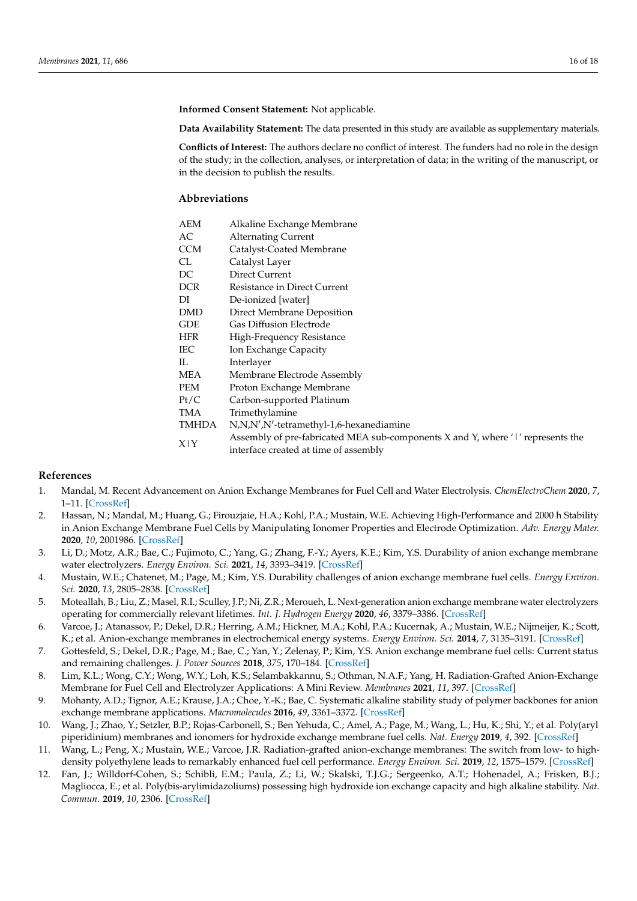**Informed Consent Statement:** Not applicable.

**Data Availability Statement:** The data presented in this study are available as supplementary materials.

**Conflicts of Interest:** The authors declare no conflict of interest. The funders had no role in the design of the study; in the collection, analyses, or interpretation of data; in the writing of the manuscript, or in the decision to publish the results.

# **Abbreviations**

| AEM        | Alkaline Exchange Membrane                                                      |
|------------|---------------------------------------------------------------------------------|
| AC         | <b>Alternating Current</b>                                                      |
| CCM        | Catalyst-Coated Membrane                                                        |
| CL         | Catalyst Layer                                                                  |
| DC         | Direct Current                                                                  |
| DCR.       | Resistance in Direct Current                                                    |
| DI         | De-ionized [water]                                                              |
| DMD        | Direct Membrane Deposition                                                      |
| GDE        | <b>Gas Diffusion Electrode</b>                                                  |
| <b>HFR</b> | High-Frequency Resistance                                                       |
| IEC        | Ion Exchange Capacity                                                           |
| IL.        | Interlayer                                                                      |
| MEA        | Membrane Electrode Assembly                                                     |
| PEM        | Proton Exchange Membrane                                                        |
| Pt/C       | Carbon-supported Platinum                                                       |
| TMA        | Trimethylamine                                                                  |
| TMHDA      | N,N,N',N'-tetramethyl-1,6-hexanediamine                                         |
| X Y        | Assembly of pre-fabricated MEA sub-components X and Y, where 'I' represents the |
|            | interface created at time of assembly                                           |

# **References**

- <span id="page-15-0"></span>1. Mandal, M. Recent Advancement on Anion Exchange Membranes for Fuel Cell and Water Electrolysis. *ChemElectroChem* **2020**, *7*, 1–11. [\[CrossRef\]](http://doi.org/10.1002/celc.202001329)
- <span id="page-15-1"></span>2. Hassan, N.; Mandal, M.; Huang, G.; Firouzjaie, H.A.; Kohl, P.A.; Mustain, W.E. Achieving High-Performance and 2000 h Stability in Anion Exchange Membrane Fuel Cells by Manipulating Ionomer Properties and Electrode Optimization. *Adv. Energy Mater.* **2020**, *10*, 2001986. [\[CrossRef\]](http://doi.org/10.1002/aenm.202001986)
- <span id="page-15-2"></span>3. Li, D.; Motz, A.R.; Bae, C.; Fujimoto, C.; Yang, G.; Zhang, F.-Y.; Ayers, K.E.; Kim, Y.S. Durability of anion exchange membrane water electrolyzers. *Energy Environ. Sci.* **2021**, *14*, 3393–3419. [\[CrossRef\]](http://doi.org/10.1039/D0EE04086J)
- <span id="page-15-3"></span>4. Mustain, W.E.; Chatenet, M.; Page, M.; Kim, Y.S. Durability challenges of anion exchange membrane fuel cells. *Energy Environ. Sci.* **2020**, *13*, 2805–2838. [\[CrossRef\]](http://doi.org/10.1039/D0EE01133A)
- <span id="page-15-4"></span>5. Moteallah, B.; Liu, Z.; Masel, R.I.; Sculley, J.P.; Ni, Z.R.; Meroueh, L. Next-generation anion exchange membrane water electrolyzers operating for commercially relevant lifetimes. *Int. J. Hydrogen Energy* **2020**, *46*, 3379–3386. [\[CrossRef\]](http://doi.org/10.1016/j.ijhydene.2020.10.244)
- <span id="page-15-5"></span>6. Varcoe, J.; Atanassov, P.; Dekel, D.R.; Herring, A.M.; Hickner, M.A.; Kohl, P.A.; Kucernak, A.; Mustain, W.E.; Nijmeijer, K.; Scott, K.; et al. Anion-exchange membranes in electrochemical energy systems. *Energy Environ. Sci.* **2014**, *7*, 3135–3191. [\[CrossRef\]](http://doi.org/10.1039/C4EE01303D)
- <span id="page-15-6"></span>7. Gottesfeld, S.; Dekel, D.R.; Page, M.; Bae, C.; Yan, Y.; Zelenay, P.; Kim, Y.S. Anion exchange membrane fuel cells: Current status and remaining challenges. *J. Power Sources* **2018**, *375*, 170–184. [\[CrossRef\]](http://doi.org/10.1016/j.jpowsour.2017.08.010)
- <span id="page-15-7"></span>8. Lim, K.L.; Wong, C.Y.; Wong, W.Y.; Loh, K.S.; Selambakkannu, S.; Othman, N.A.F.; Yang, H. Radiation-Grafted Anion-Exchange Membrane for Fuel Cell and Electrolyzer Applications: A Mini Review. *Membranes* **2021**, *11*, 397. [\[CrossRef\]](http://doi.org/10.3390/membranes11060397)
- 9. Mohanty, A.D.; Tignor, A.E.; Krause, J.A.; Choe, Y.-K.; Bae, C. Systematic alkaline stability study of polymer backbones for anion exchange membrane applications. *Macromolecules* **2016**, *49*, 3361–3372. [\[CrossRef\]](http://doi.org/10.1021/acs.macromol.5b02550)
- 10. Wang, J.; Zhao, Y.; Setzler, B.P.; Rojas-Carbonell, S.; Ben Yehuda, C.; Amel, A.; Page, M.; Wang, L.; Hu, K.; Shi, Y.; et al. Poly(aryl piperidinium) membranes and ionomers for hydroxide exchange membrane fuel cells. *Nat. Energy* **2019**, *4*, 392. [\[CrossRef\]](http://doi.org/10.1038/s41560-019-0372-8)
- <span id="page-15-9"></span>11. Wang, L.; Peng, X.; Mustain, W.E.; Varcoe, J.R. Radiation-grafted anion-exchange membranes: The switch from low- to highdensity polyethylene leads to remarkably enhanced fuel cell performance. *Energy Environ. Sci.* **2019**, *12*, 1575–1579. [\[CrossRef\]](http://doi.org/10.1039/C9EE00331B)
- <span id="page-15-8"></span>12. Fan, J.; Willdorf-Cohen, S.; Schibli, E.M.; Paula, Z.; Li, W.; Skalski, T.J.G.; Sergeenko, A.T.; Hohenadel, A.; Frisken, B.J.; Magliocca, E.; et al. Poly(bis-arylimidazoliums) possessing high hydroxide ion exchange capacity and high alkaline stability. *Nat. Commun.* **2019**, *10*, 2306. [\[CrossRef\]](http://doi.org/10.1038/s41467-019-10292-z)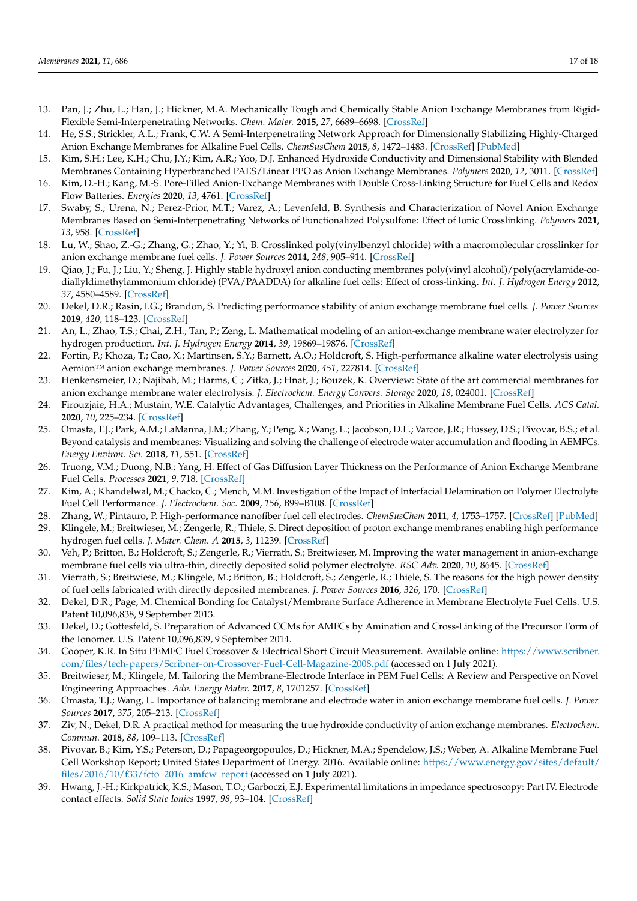- <span id="page-16-0"></span>13. Pan, J.; Zhu, L.; Han, J.; Hickner, M.A. Mechanically Tough and Chemically Stable Anion Exchange Membranes from Rigid-Flexible Semi-Interpenetrating Networks. *Chem. Mater.* **2015**, *27*, 6689–6698. [\[CrossRef\]](http://doi.org/10.1021/acs.chemmater.5b02557)
- 14. He, S.S.; Strickler, A.L.; Frank, C.W. A Semi-Interpenetrating Network Approach for Dimensionally Stabilizing Highly-Charged Anion Exchange Membranes for Alkaline Fuel Cells. *ChemSusChem* **2015**, *8*, 1472–1483. [\[CrossRef\]](http://doi.org/10.1002/cssc.201500133) [\[PubMed\]](http://www.ncbi.nlm.nih.gov/pubmed/25820199)
- 15. Kim, S.H.; Lee, K.H.; Chu, J.Y.; Kim, A.R.; Yoo, D.J. Enhanced Hydroxide Conductivity and Dimensional Stability with Blended Membranes Containing Hyperbranched PAES/Linear PPO as Anion Exchange Membranes. *Polymers* **2020**, *12*, 3011. [\[CrossRef\]](http://doi.org/10.3390/polym12123011)
- <span id="page-16-1"></span>16. Kim, D.-H.; Kang, M.-S. Pore-Filled Anion-Exchange Membranes with Double Cross-Linking Structure for Fuel Cells and Redox Flow Batteries. *Energies* **2020**, *13*, 4761. [\[CrossRef\]](http://doi.org/10.3390/en13184761)
- <span id="page-16-2"></span>17. Swaby, S.; Urena, N.; Perez-Prior, M.T.; Varez, A.; Levenfeld, B. Synthesis and Characterization of Novel Anion Exchange Membranes Based on Semi-Interpenetrating Networks of Functionalized Polysulfone: Effect of Ionic Crosslinking. *Polymers* **2021**, *13*, 958. [\[CrossRef\]](http://doi.org/10.3390/polym13060958)
- 18. Lu, W.; Shao, Z.-G.; Zhang, G.; Zhao, Y.; Yi, B. Crosslinked poly(vinylbenzyl chloride) with a macromolecular crosslinker for anion exchange membrane fuel cells. *J. Power Sources* **2014**, *248*, 905–914. [\[CrossRef\]](http://doi.org/10.1016/j.jpowsour.2013.08.141)
- <span id="page-16-3"></span>19. Qiao, J.; Fu, J.; Liu, Y.; Sheng, J. Highly stable hydroxyl anion conducting membranes poly(vinyl alcohol)/poly(acrylamide-codiallyldimethylammonium chloride) (PVA/PAADDA) for alkaline fuel cells: Effect of cross-linking. *Int. J. Hydrogen Energy* **2012**, *37*, 4580–4589. [\[CrossRef\]](http://doi.org/10.1016/j.ijhydene.2011.06.038)
- <span id="page-16-4"></span>20. Dekel, D.R.; Rasin, I.G.; Brandon, S. Predicting performance stability of anion exchange membrane fuel cells. *J. Power Sources* **2019**, *420*, 118–123. [\[CrossRef\]](http://doi.org/10.1016/j.jpowsour.2019.02.069)
- <span id="page-16-5"></span>21. An, L.; Zhao, T.S.; Chai, Z.H.; Tan, P.; Zeng, L. Mathematical modeling of an anion-exchange membrane water electrolyzer for hydrogen production. *Int. J. Hydrogen Energy* **2014**, *39*, 19869–19876. [\[CrossRef\]](http://doi.org/10.1016/j.ijhydene.2014.10.025)
- <span id="page-16-6"></span>22. Fortin, P.; Khoza, T.; Cao, X.; Martinsen, S.Y.; Barnett, A.O.; Holdcroft, S. High-performance alkaline water electrolysis using Aemion™ anion exchange membranes. *J. Power Sources* **2020**, *451*, 227814. [\[CrossRef\]](http://doi.org/10.1016/j.jpowsour.2020.227814)
- <span id="page-16-7"></span>23. Henkensmeier, D.; Najibah, M.; Harms, C.; Zitka, J.; Hnat, J.; Bouzek, K. Overview: State of the art commercial membranes for anion exchange membrane water electrolysis. *J. Electrochem. Energy Convers. Storage* **2020**, *18*, 024001. [\[CrossRef\]](http://doi.org/10.1115/1.4047963)
- <span id="page-16-8"></span>24. Firouzjaie, H.A.; Mustain, W.E. Catalytic Advantages, Challenges, and Priorities in Alkaline Membrane Fuel Cells. *ACS Catal.* **2020**, *10*, 225–234. [\[CrossRef\]](http://doi.org/10.1021/acscatal.9b03892)
- <span id="page-16-9"></span>25. Omasta, T.J.; Park, A.M.; LaManna, J.M.; Zhang, Y.; Peng, X.; Wang, L.; Jacobson, D.L.; Varcoe, J.R.; Hussey, D.S.; Pivovar, B.S.; et al. Beyond catalysis and membranes: Visualizing and solving the challenge of electrode water accumulation and flooding in AEMFCs. *Energy Environ. Sci.* **2018**, *11*, 551. [\[CrossRef\]](http://doi.org/10.1039/C8EE00122G)
- <span id="page-16-10"></span>26. Truong, V.M.; Duong, N.B.; Yang, H. Effect of Gas Diffusion Layer Thickness on the Performance of Anion Exchange Membrane Fuel Cells. *Processes* **2021**, *9*, 718. [\[CrossRef\]](http://doi.org/10.3390/pr9040718)
- <span id="page-16-11"></span>27. Kim, A.; Khandelwal, M.; Chacko, C.; Mench, M.M. Investigation of the Impact of Interfacial Delamination on Polymer Electrolyte Fuel Cell Performance. *J. Electrochem. Soc.* **2009**, *156*, B99–B108. [\[CrossRef\]](http://doi.org/10.1149/1.3006398)
- <span id="page-16-12"></span>28. Zhang, W.; Pintauro, P. High-performance nanofiber fuel cell electrodes. *ChemSusChem* **2011**, *4*, 1753–1757. [\[CrossRef\]](http://doi.org/10.1002/cssc.201100245) [\[PubMed\]](http://www.ncbi.nlm.nih.gov/pubmed/22110012)
- <span id="page-16-13"></span>29. Klingele, M.; Breitwieser, M.; Zengerle, R.; Thiele, S. Direct deposition of proton exchange membranes enabling high performance hydrogen fuel cells. *J. Mater. Chem. A* **2015**, *3*, 11239. [\[CrossRef\]](http://doi.org/10.1039/C5TA01341K)
- <span id="page-16-14"></span>30. Veh, P.; Britton, B.; Holdcroft, S.; Zengerle, R.; Vierrath, S.; Breitwieser, M. Improving the water management in anion-exchange membrane fuel cells via ultra-thin, directly deposited solid polymer electrolyte. *RSC Adv.* **2020**, *10*, 8645. [\[CrossRef\]](http://doi.org/10.1039/C9RA09628K)
- <span id="page-16-15"></span>31. Vierrath, S.; Breitwiese, M.; Klingele, M.; Britton, B.; Holdcroft, S.; Zengerle, R.; Thiele, S. The reasons for the high power density of fuel cells fabricated with directly deposited membranes. *J. Power Sources* **2016**, *326*, 170. [\[CrossRef\]](http://doi.org/10.1016/j.jpowsour.2016.06.132)
- <span id="page-16-16"></span>32. Dekel, D.R.; Page, M. Chemical Bonding for Catalyst/Membrane Surface Adherence in Membrane Electrolyte Fuel Cells. U.S. Patent 10,096,838, 9 September 2013.
- <span id="page-16-17"></span>33. Dekel, D.; Gottesfeld, S. Preparation of Advanced CCMs for AMFCs by Amination and Cross-Linking of the Precursor Form of the Ionomer. U.S. Patent 10,096,839, 9 September 2014.
- <span id="page-16-18"></span>34. Cooper, K.R. In Situ PEMFC Fuel Crossover & Electrical Short Circuit Measurement. Available online: [https://www.scribner.](https://www.scribner.com/files/tech-papers/Scribner-on-Crossover-Fuel-Cell-Magazine-2008.pdf) [com/files/tech-papers/Scribner-on-Crossover-Fuel-Cell-Magazine-2008.pdf](https://www.scribner.com/files/tech-papers/Scribner-on-Crossover-Fuel-Cell-Magazine-2008.pdf) (accessed on 1 July 2021).
- <span id="page-16-19"></span>35. Breitwieser, M.; Klingele, M. Tailoring the Membrane-Electrode Interface in PEM Fuel Cells: A Review and Perspective on Novel Engineering Approaches. *Adv. Energy Mater.* **2017**, *8*, 1701257. [\[CrossRef\]](http://doi.org/10.1002/aenm.201701257)
- <span id="page-16-20"></span>36. Omasta, T.J.; Wang, L. Importance of balancing membrane and electrode water in anion exchange membrane fuel cells. *J. Power Sources* **2017**, *375*, 205–213. [\[CrossRef\]](http://doi.org/10.1016/j.jpowsour.2017.05.006)
- <span id="page-16-21"></span>37. Ziv, N.; Dekel, D.R. A practical method for measuring the true hydroxide conductivity of anion exchange membranes. *Electrochem. Commun.* **2018**, *88*, 109–113. [\[CrossRef\]](http://doi.org/10.1016/j.elecom.2018.01.021)
- <span id="page-16-22"></span>38. Pivovar, B.; Kim, Y.S.; Peterson, D.; Papageorgopoulos, D.; Hickner, M.A.; Spendelow, J.S.; Weber, A. Alkaline Membrane Fuel Cell Workshop Report; United States Department of Energy. 2016. Available online: [https://www.energy.gov/sites/default/](https://www.energy.gov/sites/default/files/2016/10/f33/fcto_2016_amfcw_report) [files/2016/10/f33/fcto\\_2016\\_amfcw\\_report](https://www.energy.gov/sites/default/files/2016/10/f33/fcto_2016_amfcw_report) (accessed on 1 July 2021).
- <span id="page-16-23"></span>39. Hwang, J.-H.; Kirkpatrick, K.S.; Mason, T.O.; Garboczi, E.J. Experimental limitations in impedance spectroscopy: Part IV. Electrode contact effects. *Solid State Ionics* **1997**, *98*, 93–104. [\[CrossRef\]](http://doi.org/10.1016/S0167-2738(97)00075-1)